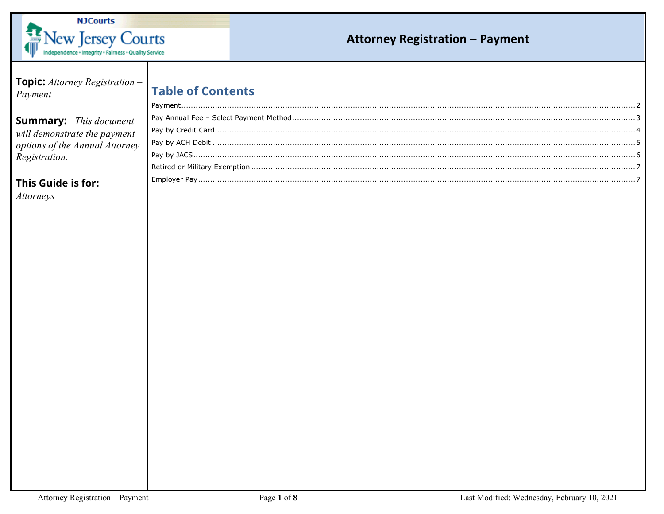

| <b>Topic:</b> Attorney Registration -<br>Payment                                                                                       | <b>Table of Contents</b> |
|----------------------------------------------------------------------------------------------------------------------------------------|--------------------------|
| <b>Summary:</b> This document<br>will demonstrate the payment<br>options of the Annual Attorney<br>Registration.<br>This Guide is for: |                          |
| <i>Attorneys</i>                                                                                                                       |                          |
|                                                                                                                                        |                          |
|                                                                                                                                        |                          |
|                                                                                                                                        |                          |
|                                                                                                                                        |                          |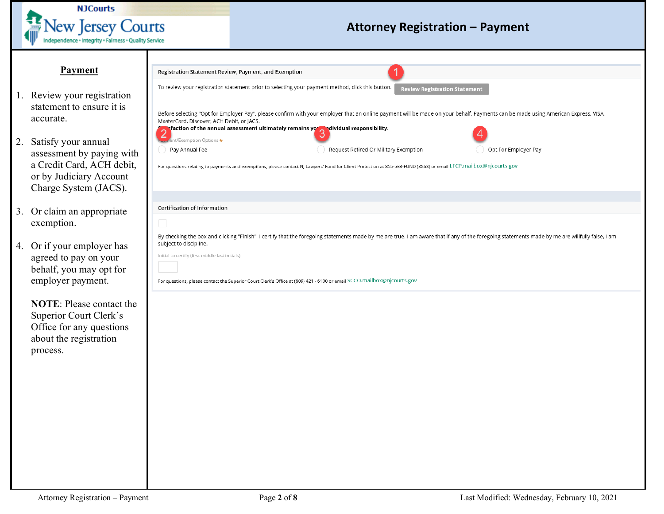

#### **Payment**

- <span id="page-1-0"></span>1. Review your registration statement to ensure it is accurate.
- 2. Satisfy your annual assessment by paying with a Credit Card, ACH debit, or by Judiciary Account Charge System (JACS).
- 3. Or claim an appropriate exemption.
- 4. Or if your employer has agreed to pay on your behalf, you may opt for employer payment.

**NOTE**: Please contact the Superior Court Clerk's Office for any questions about the registration process.

|                                                 | Registration Statement Review, Payment, and Exemption                                                                                                                                           |  |
|-------------------------------------------------|-------------------------------------------------------------------------------------------------------------------------------------------------------------------------------------------------|--|
|                                                 | To review your registration statement prior to selecting your payment method, click this button.<br><b>Review Registration Statement</b>                                                        |  |
|                                                 | Before selecting "Opt for Employer Pay", please confirm with your employer that an online payment will be made on your behalf. Payments can be made using American Express, VISA,               |  |
| MasterCard, Discover, ACH Debit, or JACS.       | sfaction of the annual assessment ultimately remains you adividual responsibility.                                                                                                              |  |
| ent/Exemption Options *                         | 3                                                                                                                                                                                               |  |
| Pay Annual Fee                                  | Request Retired Or Military Exemption<br>Opt For Employer Pay                                                                                                                                   |  |
|                                                 | For questions relating to payments and exemptions, please contact NJ Lawyers' Fund for Client Protection at 855-533-FUND (3863) or email LFCP.mailbox@njcourts.gov                              |  |
|                                                 |                                                                                                                                                                                                 |  |
|                                                 |                                                                                                                                                                                                 |  |
| Certification of Information                    |                                                                                                                                                                                                 |  |
| u                                               |                                                                                                                                                                                                 |  |
|                                                 | By checking the box and clicking "Finish", I certify that the foregoing statements made by me are true. I am aware that if any of the foregoing statements made by me are willfully false, I am |  |
| subject to discipline.                          |                                                                                                                                                                                                 |  |
| Initial to certify (first middle last initials) |                                                                                                                                                                                                 |  |
|                                                 |                                                                                                                                                                                                 |  |
|                                                 |                                                                                                                                                                                                 |  |
|                                                 |                                                                                                                                                                                                 |  |
|                                                 | For questions, please contact the Superior Court Clerk's Office at (609) 421 - 6100 or email SCCO.mailbox@njcourts.gov                                                                          |  |
|                                                 |                                                                                                                                                                                                 |  |
|                                                 |                                                                                                                                                                                                 |  |
|                                                 |                                                                                                                                                                                                 |  |
|                                                 |                                                                                                                                                                                                 |  |
|                                                 |                                                                                                                                                                                                 |  |
|                                                 |                                                                                                                                                                                                 |  |
|                                                 |                                                                                                                                                                                                 |  |
|                                                 |                                                                                                                                                                                                 |  |
|                                                 |                                                                                                                                                                                                 |  |
|                                                 |                                                                                                                                                                                                 |  |
|                                                 |                                                                                                                                                                                                 |  |
|                                                 |                                                                                                                                                                                                 |  |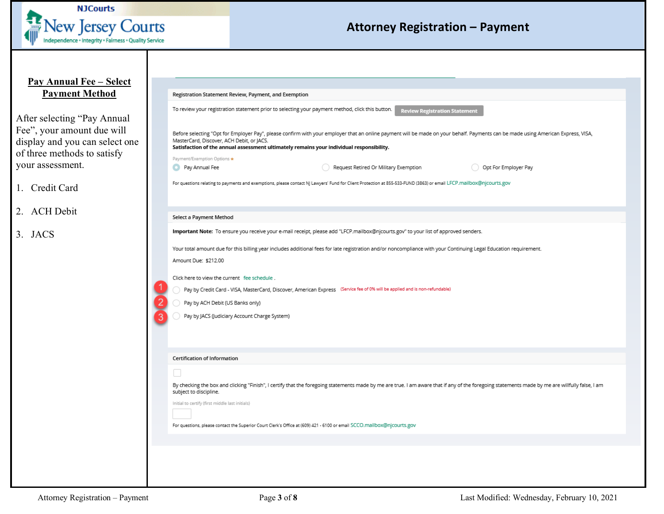

#### <span id="page-2-0"></span>**Pay Annual Fee – Select Payment Method**

After selecting "Pay Annual Fee", your amount due will display and you can select on of three methods to satisfy your assessment.

- 1. Credit Card
- 2. ACH Debit
- 3. JACS

|                | Registration Statement Review, Payment, and Exemption                                                                                                                                                                                                                                                                      |
|----------------|----------------------------------------------------------------------------------------------------------------------------------------------------------------------------------------------------------------------------------------------------------------------------------------------------------------------------|
|                | To review your registration statement prior to selecting your payment method, click this button.<br><b>Review Registration Statement</b>                                                                                                                                                                                   |
|                | Before selecting "Opt for Employer Pay", please confirm with your employer that an online payment will be made on your behalf. Payments can be made using American Express, VISA,<br>MasterCard, Discover, ACH Debit, or JACS.<br>Satisfaction of the annual assessment ultimately remains your individual responsibility. |
|                | Payment/Exemption Options *                                                                                                                                                                                                                                                                                                |
|                | Request Retired Or Military Exemption<br>Pay Annual Fee<br>Opt For Employer Pay                                                                                                                                                                                                                                            |
|                | For questions relating to payments and exemptions, please contact NJ Lawyers' Fund for Client Protection at 855-533-FUND (3863) or email LFCP.mailbox@njcourts.gov                                                                                                                                                         |
|                | Select a Payment Method                                                                                                                                                                                                                                                                                                    |
|                | Important Note: To ensure you receive your e-mail receipt, please add "LFCP.mailbox@njcourts.gov" to your list of approved senders.                                                                                                                                                                                        |
|                | Your total amount due for this billing year includes additional fees for late registration and/or noncompliance with your Continuing Legal Education requirement.                                                                                                                                                          |
|                | Amount Due: \$212.00                                                                                                                                                                                                                                                                                                       |
|                | Click here to view the current fee schedule.                                                                                                                                                                                                                                                                               |
|                | Pay by Credit Card - VISA, MasterCard, Discover, American Express (Service fee of 0% will be applied and is non-refundable)                                                                                                                                                                                                |
| $\overline{2}$ | Pay by ACH Debit (US Banks only)                                                                                                                                                                                                                                                                                           |
| 3              | Pay by JACS (Judiciary Account Charge System)                                                                                                                                                                                                                                                                              |
|                | Certification of Information                                                                                                                                                                                                                                                                                               |
|                | n.                                                                                                                                                                                                                                                                                                                         |
|                | By checking the box and clicking "Finish", I certify that the foregoing statements made by me are true. I am aware that if any of the foregoing statements made by me are willfully false, I am<br>subject to discipline.                                                                                                  |
|                | Initial to certify (first middle last initials)                                                                                                                                                                                                                                                                            |
|                | For questions, please contact the Superior Court Clerk's Office at (609) 421 - 6100 or email SCCO.mailbox@njcourts.gov                                                                                                                                                                                                     |
|                |                                                                                                                                                                                                                                                                                                                            |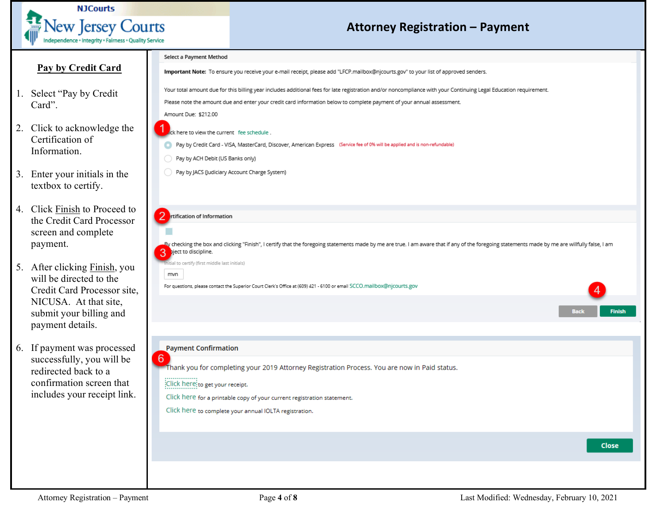

### <span id="page-3-0"></span>**Pay by Credit Card**

- 1. Select "Pay by Credit Card".
- 2. Click to acknowledge the Certification of Information.
- 3. Enter your initials in the textbox to certify.
- 4. Click Finish to Proceed to the Credit Card Processor screen and complete payment.
- 5. After clicking Finish, you will be directed to the Credit Card Processor site, NICUSA. At that site, submit your billing and payment details.
- 6. If payment was processed successfully, you will be redirected back to a confirmation screen that includes your receipt link.

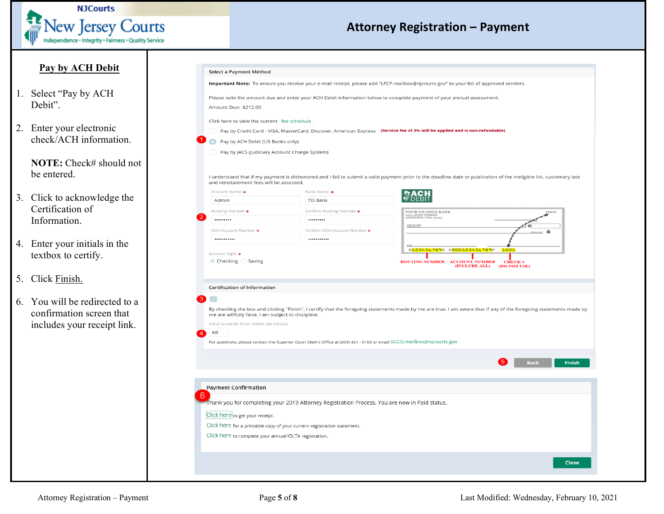

#### <span id="page-4-0"></span>**Pay by ACH Debit**

- 1. Select "Pay by ACH Debit".
- 2. Enter your electronic check/ACH information.

**NOTE:** Check# should not be entered.

- 3. Click to acknowledge the Certification of Information.
- 4. Enter your initials in the textbox to certify.
- 5. Click Finish.
- 6. You will be redirected to a confirmation screen that includes your receipt link.

| Select a Payment Method                                                                                                                                                         |                                                                                                                        |                                                                                                                                                                     |
|---------------------------------------------------------------------------------------------------------------------------------------------------------------------------------|------------------------------------------------------------------------------------------------------------------------|---------------------------------------------------------------------------------------------------------------------------------------------------------------------|
|                                                                                                                                                                                 |                                                                                                                        | Important Note: To ensure you receive your e-mail receipt, please add "LFCP.mailbox@njcourts.gov" to your list of approved senders.                                 |
|                                                                                                                                                                                 |                                                                                                                        | Please note the amount due and enter your ACH Debit information below to complete payment of your annual assessment.                                                |
| Amount Due: \$212.00                                                                                                                                                            |                                                                                                                        |                                                                                                                                                                     |
|                                                                                                                                                                                 |                                                                                                                        |                                                                                                                                                                     |
| Click here to view the current fee schedule.                                                                                                                                    |                                                                                                                        |                                                                                                                                                                     |
|                                                                                                                                                                                 |                                                                                                                        | Pay by Credit Card - VISA, MasterCard, Discover, American Express (Service fee of 3% will be applied and is non-refundable)                                         |
| Pay by ACH Debit (US Banks only)                                                                                                                                                |                                                                                                                        |                                                                                                                                                                     |
| Pay by JACS (Judiciary Account Charge System)                                                                                                                                   |                                                                                                                        |                                                                                                                                                                     |
|                                                                                                                                                                                 |                                                                                                                        |                                                                                                                                                                     |
| and reinstatement fees will be assessed.                                                                                                                                        |                                                                                                                        | I understand that if my payment is dishonored and I fail to submit a valid payment prior to the deadline date or publication of the ineligible list, customary late |
| Account Name: *                                                                                                                                                                 | Bank Name: *                                                                                                           |                                                                                                                                                                     |
| Admin                                                                                                                                                                           | TD Bank                                                                                                                |                                                                                                                                                                     |
| Routing Number *                                                                                                                                                                | Confirm Routing Number *                                                                                               | YOUR US ONLY BANK<br>1001                                                                                                                                           |
|                                                                                                                                                                                 |                                                                                                                        | 1234 MAIN STREET<br>ANYTOWN, USA 12345                                                                                                                              |
| ACH Account Number *                                                                                                                                                            | Confirm ACH Account Number *                                                                                           | <b>SANDS DIE</b><br>$\mathbf{a}$                                                                                                                                    |
|                                                                                                                                                                                 |                                                                                                                        |                                                                                                                                                                     |
| Account Type: *<br>$\bullet$ Checking $\circ$ Saving                                                                                                                            |                                                                                                                        | PO8<br>.123456789. . 000123456789.<br><b>1001</b><br>ROUTING NUMBER ACCOUNT NUMBER<br><b>CHECK#</b><br>(INCLUDE ALL)<br>(DO NOT USE)                                |
| <b>Certification of Information</b>                                                                                                                                             |                                                                                                                        |                                                                                                                                                                     |
| $\overline{\mathscr{S}}$                                                                                                                                                        |                                                                                                                        |                                                                                                                                                                     |
|                                                                                                                                                                                 |                                                                                                                        | By checking the box and clicking "Finish", I certify that the foregoing statements made by me are true. I am aware that if any of the foregoing statements made by  |
| Initial to certify (first middle last initials)                                                                                                                                 |                                                                                                                        |                                                                                                                                                                     |
| AB                                                                                                                                                                              |                                                                                                                        |                                                                                                                                                                     |
|                                                                                                                                                                                 | For questions, please contact the Superior Court Clerk's Office at (609) 421 - 6100 or email SCCO.mailbox@njcourts.gov |                                                                                                                                                                     |
|                                                                                                                                                                                 |                                                                                                                        |                                                                                                                                                                     |
|                                                                                                                                                                                 |                                                                                                                        | <b>Back</b><br><b>Finish</b>                                                                                                                                        |
|                                                                                                                                                                                 |                                                                                                                        |                                                                                                                                                                     |
|                                                                                                                                                                                 |                                                                                                                        |                                                                                                                                                                     |
|                                                                                                                                                                                 |                                                                                                                        |                                                                                                                                                                     |
|                                                                                                                                                                                 | Thank you for completing your 2019 Attorney Registration Process. You are now in Paid status.                          |                                                                                                                                                                     |
|                                                                                                                                                                                 |                                                                                                                        |                                                                                                                                                                     |
|                                                                                                                                                                                 | Click here for a printable copy of your current registration statement.                                                |                                                                                                                                                                     |
| me are willfully false, I am subject to discipline.<br><b>Payment Confirmation</b><br>Click here to get your receipt.<br>Click here to complete your annual IOLTA registration. |                                                                                                                        |                                                                                                                                                                     |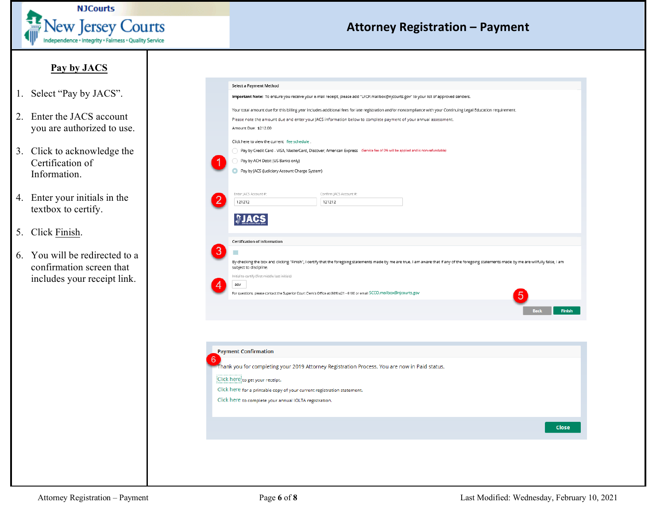

#### **Pay by JACS**

- <span id="page-5-0"></span>1. Select "Pay by JACS".
- 2. Enter the JACS account you are authorized to use.
- 3. Click to acknowledge the Certification of Information.
- 4. Enter your initials in the textbox to certify.
- 5. Click Finish.
- 6. You will be redirected to a confirmation screen that includes your receipt link.

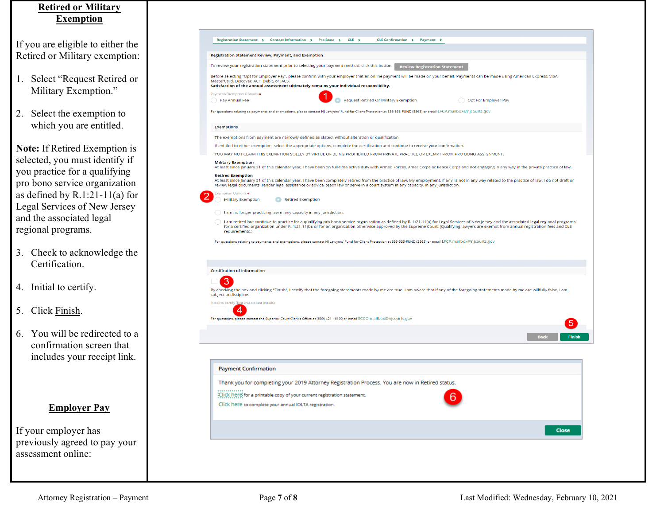#### <span id="page-6-0"></span>**Retired or Military Exemption**

If you are eligible to either the Retired or Military exemption:

- 1. Select "Request Retired or Military Exemption."
- 2. Select the exemption to which you are entitled.

**Note:** If Retired Exemption is selected, you must identify if you practice for a qualifying pro bono service organization as defined by R.1:21-11(a) for Legal Services of New Jersey and the associated legal regional programs.

- 3. Check to acknowledge the Certification.
- 4. Initial to certify.
- 5. Click Finish.
- 6. You will be redirected to a confirmation screen that includes your receipt link.

#### **Employer Pay**

<span id="page-6-1"></span>If your employer has previously agreed to pay your assessment online: